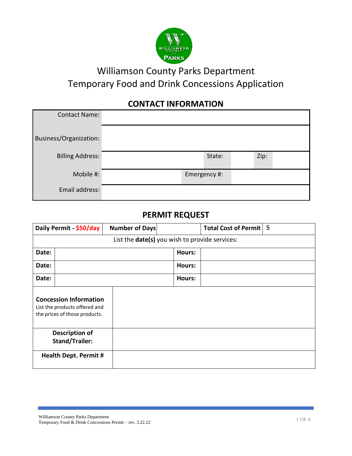

# Williamson County Parks Department Temporary Food and Drink Concessions Application

## **CONTACT INFORMATION**

| <b>Contact Name:</b>    |  |              |      |  |
|-------------------------|--|--------------|------|--|
| Business/Organization:  |  |              |      |  |
| <b>Billing Address:</b> |  | State:       | Zip: |  |
| Mobile #:               |  | Emergency #: |      |  |
| Email address:          |  |              |      |  |

#### **PERMIT REQUEST**

| Daily Permit - \$50/day                                                                         | <b>Number of Days</b> |        | Total Cost of Permit   \$ |  |
|-------------------------------------------------------------------------------------------------|-----------------------|--------|---------------------------|--|
| List the <b>date(s)</b> you wish to provide services:                                           |                       |        |                           |  |
| Date:                                                                                           |                       | Hours: |                           |  |
| Date:                                                                                           |                       | Hours: |                           |  |
| Date:                                                                                           |                       | Hours: |                           |  |
| <b>Concession Information</b><br>List the products offered and<br>the prices of those products. |                       |        |                           |  |
| <b>Description of</b><br><b>Stand/Trailer:</b>                                                  |                       |        |                           |  |
| <b>Health Dept. Permit #</b>                                                                    |                       |        |                           |  |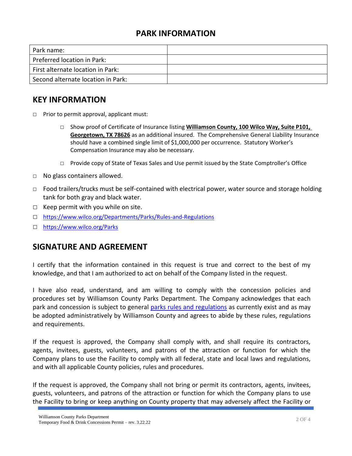### **PARK INFORMATION**

| Park name:                         |  |
|------------------------------------|--|
| Preferred location in Park:        |  |
| First alternate location in Park:  |  |
| Second alternate location in Park: |  |

#### **KEY INFORMATION**

- □ Prior to permit approval, applicant must:
	- □ Show proof of Certificate of Insurance listing **Williamson County, 100 Wilco Way, Suite P101, Georgetown, TX 78626** as an additional insured. The Comprehensive General Liability Insurance should have a combined single limit of \$1,000,000 per occurrence. Statutory Worker's Compensation Insurance may also be necessary.
	- □ Provide copy of State of Texas Sales and Use permit issued by the State Comptroller's Office
- □ No glass containers allowed.
- $\Box$  Food trailers/trucks must be self-contained with electrical power, water source and storage holding tank for both gray and black water.
- $\Box$  Keep permit with you while on site.
- □ <https://www.wilco.org/Departments/Parks/Rules-and-Regulations>
- □ <https://www.wilco.org/Parks>

### **SIGNATURE AND AGREEMENT**

I certify that the information contained in this request is true and correct to the best of my knowledge, and that I am authorized to act on behalf of the Company listed in the request.

I have also read, understand, and am willing to comply with the concession policies and procedures set by Williamson County Parks Department. The Company acknowledges that each park and concession is subject to general [parks rules and regulations](https://www.wilco.org/Departments/Parks/Rules-and-Regulations) as currently exist and as may be adopted administratively by Williamson County and agrees to abide by these rules, regulations and requirements.

If the request is approved, the Company shall comply with, and shall require its contractors, agents, invitees, guests, volunteers, and patrons of the attraction or function for which the Company plans to use the Facility to comply with all federal, state and local laws and regulations, and with all applicable County policies, rules and procedures.

If the request is approved, the Company shall not bring or permit its contractors, agents, invitees, guests, volunteers, and patrons of the attraction or function for which the Company plans to use the Facility to bring or keep anything on County property that may adversely affect the Facility or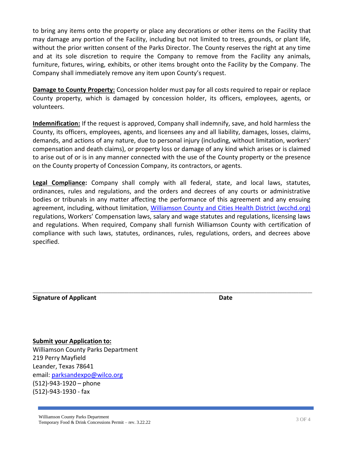to bring any items onto the property or place any decorations or other items on the Facility that may damage any portion of the Facility, including but not limited to trees, grounds, or plant life, without the prior written consent of the Parks Director. The County reserves the right at any time and at its sole discretion to require the Company to remove from the Facility any animals, furniture, fixtures, wiring, exhibits, or other items brought onto the Facility by the Company. The Company shall immediately remove any item upon County's request.

**Damage to County Property:** Concession holder must pay for all costs required to repair or replace County property, which is damaged by concession holder, its officers, employees, agents, or volunteers.

**Indemnification:** If the request is approved, Company shall indemnify, save, and hold harmless the County, its officers, employees, agents, and licensees any and all liability, damages, losses, claims, demands, and actions of any nature, due to personal injury (including, without limitation, workers' compensation and death claims), or property loss or damage of any kind which arises or is claimed to arise out of or is in any manner connected with the use of the County property or the presence on the County property of Concession Company, its contractors, or agents.

**Legal Compliance:** Company shall comply with all federal, state, and local laws, statutes, ordinances, rules and regulations, and the orders and decrees of any courts or administrative bodies or tribunals in any matter affecting the performance of this agreement and any ensuing agreement, including, without limitation, [Williamson County and Cities Health District \(wcchd.org\)](https://www.wcchd.org/) regulations, Workers' Compensation laws, salary and wage statutes and regulations, licensing laws and regulations. When required, Company shall furnish Williamson County with certification of compliance with such laws, statutes, ordinances, rules, regulations, orders, and decrees above specified.

\_\_\_\_\_\_\_\_\_\_\_\_\_\_\_\_\_\_\_\_\_\_\_\_\_\_\_\_\_\_\_\_\_\_\_\_\_\_\_\_\_\_\_\_\_\_\_\_\_\_\_\_\_\_\_\_\_\_\_\_\_\_\_\_\_\_\_\_\_\_\_\_\_\_\_\_\_\_\_\_\_\_\_\_\_\_\_\_\_\_\_\_\_\_\_\_\_\_\_\_\_\_\_\_\_\_\_\_\_\_\_\_\_\_\_\_\_\_\_\_\_\_

#### **Signature of Applicant Date**

**Submit your Application to:** Williamson County Parks Department 219 Perry Mayfield Leander, Texas 78641 email: [parksandexpo@wilco.org](mailto:parksandexpo@wilco.org) (512)-943-1920 – phone (512)-943-1930 - fax